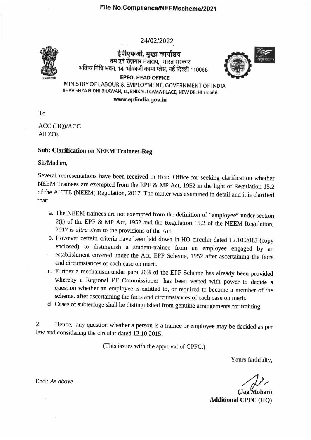24/02/2022



ईपीएफओ, मुख्य कार्यालय श्रम एवं रोजगार मंत्रालय. भारत सरकार भविष्य निधि भवन, 14, भीकाजी कामा प्लेस, नई दिल्ली 110066



MINISTRY OF LABOUR & EMPLOYMENT, GOVERNMENT OF INDIA BHAVISHYA NIDHI BHAWAN, 14, BHIKAIJI CAMA PLACE, NEW DELHI 110066

**EPFO, HEAD OFFICE** 

www.epfindia.gov.in

 $To$ 

ACC (HQ)/ACC All ZOs

## **Sub: Clarification on NEEM Trainees-Reg**

Sir/Madam,

Several representations have been received in Head Office for seeking clarification whether NEEM Trainees are exempted from the EPF & MP Act, 1952 in the light of Regulation 15.2 of the AICTE (NEEM) Regulation, 2017. The matter was examined in detail and it is clarified that:

- a. The NEEM trainees are not exempted from the definition of "employee" under section 2(f) of the EPF & MP Act, 1952 and the Regulation 15.2 of the NEEM Regulation, 2017 is ultra vires to the provisions of the Act.
- b. However certain criteria have been laid down in HO circular dated 12.10.2015 (copy enclosed) to distinguish a student-trainee from an employee engaged by an establishment covered under the Act. EPF Scheme, 1952 after ascertaining the facts and circumstances of each case on merit.
- c. Further a mechanism under para 26B of the EPF Scheme has already been provided whereby a Regional PF Commissioner has been vested with power to decide a question whether an employee is entitled to, or required to become a member of the scheme. after ascertaining the facts and circumstances of each case on merit.
- d. Cases of subterfuge shall be distinguished from genuine arrangements for training

Hence, any question whether a person is a trainee or employee may be decided as per  $2.$ law and considering the circular dated 12.10.2015.

(This issues with the approval of CPFC.)

Yours faithfully,

(Jag Mohan) **Additional CPFC (HQ)** 

Encl: As above